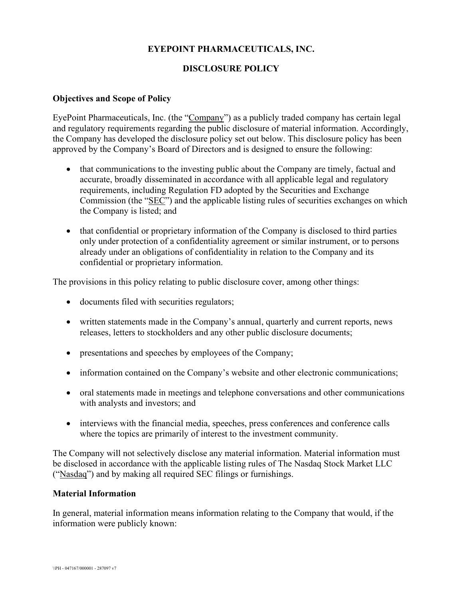# **EYEPOINT PHARMACEUTICALS, INC.**

# **DISCLOSURE POLICY**

### **Objectives and Scope of Policy**

EyePoint Pharmaceuticals, Inc. (the "Company") as a publicly traded company has certain legal and regulatory requirements regarding the public disclosure of material information. Accordingly, the Company has developed the disclosure policy set out below. This disclosure policy has been approved by the Company's Board of Directors and is designed to ensure the following:

- that communications to the investing public about the Company are timely, factual and accurate, broadly disseminated in accordance with all applicable legal and regulatory requirements, including Regulation FD adopted by the Securities and Exchange Commission (the "SEC") and the applicable listing rules of securities exchanges on which the Company is listed; and
- that confidential or proprietary information of the Company is disclosed to third parties only under protection of a confidentiality agreement or similar instrument, or to persons already under an obligations of confidentiality in relation to the Company and its confidential or proprietary information.

The provisions in this policy relating to public disclosure cover, among other things:

- documents filed with securities regulators;
- written statements made in the Company's annual, quarterly and current reports, news releases, letters to stockholders and any other public disclosure documents;
- presentations and speeches by employees of the Company;
- information contained on the Company's website and other electronic communications;
- oral statements made in meetings and telephone conversations and other communications with analysts and investors; and
- interviews with the financial media, speeches, press conferences and conference calls where the topics are primarily of interest to the investment community.

The Company will not selectively disclose any material information. Material information must be disclosed in accordance with the applicable listing rules of The Nasdaq Stock Market LLC ("Nasdaq") and by making all required SEC filings or furnishings.

### **Material Information**

In general, material information means information relating to the Company that would, if the information were publicly known: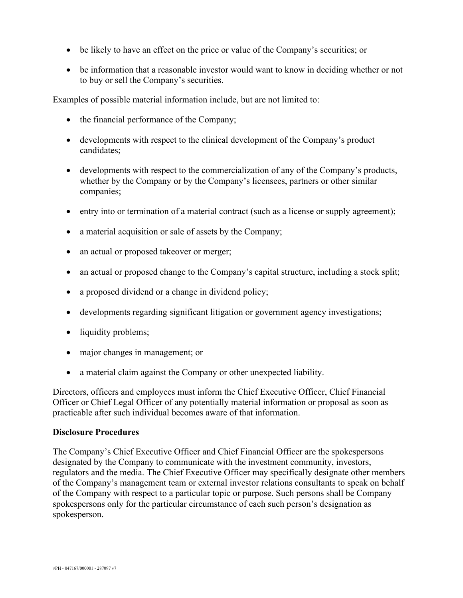- be likely to have an effect on the price or value of the Company's securities; or
- be information that a reasonable investor would want to know in deciding whether or not to buy or sell the Company's securities.

Examples of possible material information include, but are not limited to:

- the financial performance of the Company;
- developments with respect to the clinical development of the Company's product candidates;
- developments with respect to the commercialization of any of the Company's products, whether by the Company or by the Company's licensees, partners or other similar companies;
- entry into or termination of a material contract (such as a license or supply agreement);
- a material acquisition or sale of assets by the Company;
- an actual or proposed takeover or merger;
- an actual or proposed change to the Company's capital structure, including a stock split;
- a proposed dividend or a change in dividend policy;
- developments regarding significant litigation or government agency investigations;
- liquidity problems;
- major changes in management; or
- a material claim against the Company or other unexpected liability.

Directors, officers and employees must inform the Chief Executive Officer, Chief Financial Officer or Chief Legal Officer of any potentially material information or proposal as soon as practicable after such individual becomes aware of that information.

#### **Disclosure Procedures**

The Company's Chief Executive Officer and Chief Financial Officer are the spokespersons designated by the Company to communicate with the investment community, investors, regulators and the media. The Chief Executive Officer may specifically designate other members of the Company's management team or external investor relations consultants to speak on behalf of the Company with respect to a particular topic or purpose. Such persons shall be Company spokespersons only for the particular circumstance of each such person's designation as spokesperson.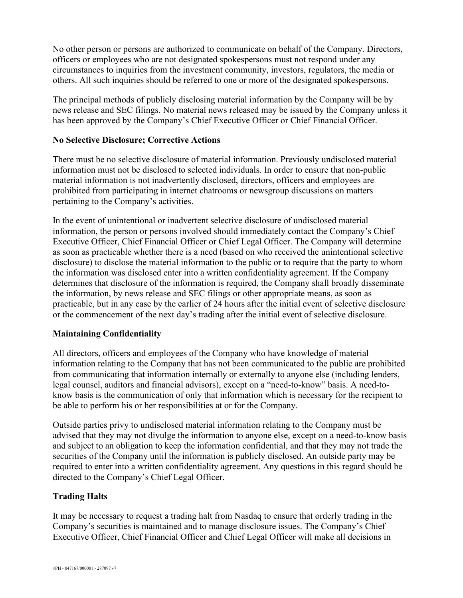No other person or persons are authorized to communicate on behalf of the Company. Directors, officers or employees who are not designated spokespersons must not respond under any circumstances to inquiries from the investment community, investors, regulators, the media or others. All such inquiries should be referred to one or more of the designated spokespersons.

The principal methods of publicly disclosing material information by the Company will be by news release and SEC filings. No material news released may be issued by the Company unless it has been approved by the Company's Chief Executive Officer or Chief Financial Officer.

### **No Selective Disclosure; Corrective Actions**

There must be no selective disclosure of material information. Previously undisclosed material information must not be disclosed to selected individuals. In order to ensure that non-public material information is not inadvertently disclosed, directors, officers and employees are prohibited from participating in internet chatrooms or newsgroup discussions on matters pertaining to the Company's activities.

In the event of unintentional or inadvertent selective disclosure of undisclosed material information, the person or persons involved should immediately contact the Company's Chief Executive Officer, Chief Financial Officer or Chief Legal Officer. The Company will determine as soon as practicable whether there is a need (based on who received the unintentional selective disclosure) to disclose the material information to the public or to require that the party to whom the information was disclosed enter into a written confidentiality agreement. If the Company determines that disclosure of the information is required, the Company shall broadly disseminate the information, by news release and SEC filings or other appropriate means, as soon as practicable, but in any case by the earlier of 24 hours after the initial event of selective disclosure or the commencement of the next day's trading after the initial event of selective disclosure.

# **Maintaining Confidentiality**

All directors, officers and employees of the Company who have knowledge of material information relating to the Company that has not been communicated to the public are prohibited from communicating that information internally or externally to anyone else (including lenders, legal counsel, auditors and financial advisors), except on a "need-to-know" basis. A need-toknow basis is the communication of only that information which is necessary for the recipient to be able to perform his or her responsibilities at or for the Company.

Outside parties privy to undisclosed material information relating to the Company must be advised that they may not divulge the information to anyone else, except on a need-to-know basis and subject to an obligation to keep the information confidential, and that they may not trade the securities of the Company until the information is publicly disclosed. An outside party may be required to enter into a written confidentiality agreement. Any questions in this regard should be directed to the Company's Chief Legal Officer.

# **Trading Halts**

It may be necessary to request a trading halt from Nasdaq to ensure that orderly trading in the Company's securities is maintained and to manage disclosure issues. The Company's Chief Executive Officer, Chief Financial Officer and Chief Legal Officer will make all decisions in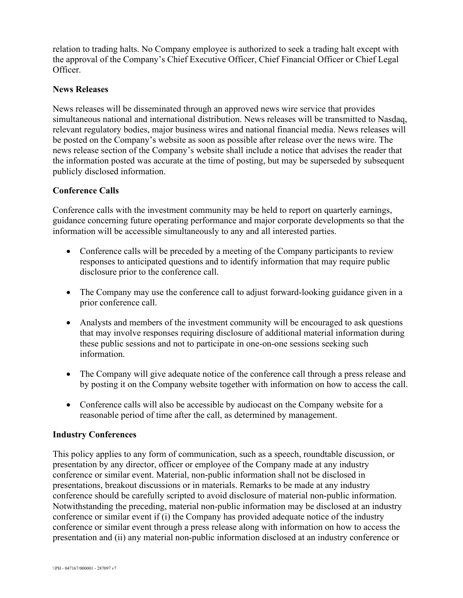relation to trading halts. No Company employee is authorized to seek a trading halt except with the approval of the Company's Chief Executive Officer, Chief Financial Officer or Chief Legal Officer.

## **News Releases**

News releases will be disseminated through an approved news wire service that provides simultaneous national and international distribution. News releases will be transmitted to Nasdaq, relevant regulatory bodies, major business wires and national financial media. News releases will be posted on the Company's website as soon as possible after release over the news wire. The news release section of the Company's website shall include a notice that advises the reader that the information posted was accurate at the time of posting, but may be superseded by subsequent publicly disclosed information.

## **Conference Calls**

Conference calls with the investment community may be held to report on quarterly earnings, guidance concerning future operating performance and major corporate developments so that the information will be accessible simultaneously to any and all interested parties.

- Conference calls will be preceded by a meeting of the Company participants to review responses to anticipated questions and to identify information that may require public disclosure prior to the conference call.
- The Company may use the conference call to adjust forward-looking guidance given in a prior conference call.
- Analysts and members of the investment community will be encouraged to ask questions that may involve responses requiring disclosure of additional material information during these public sessions and not to participate in one-on-one sessions seeking such information.
- The Company will give adequate notice of the conference call through a press release and by posting it on the Company website together with information on how to access the call.
- Conference calls will also be accessible by audiocast on the Company website for a reasonable period of time after the call, as determined by management.

### **Industry Conferences**

This policy applies to any form of communication, such as a speech, roundtable discussion, or presentation by any director, officer or employee of the Company made at any industry conference or similar event. Material, non-public information shall not be disclosed in presentations, breakout discussions or in materials. Remarks to be made at any industry conference should be carefully scripted to avoid disclosure of material non-public information. Notwithstanding the preceding, material non-public information may be disclosed at an industry conference or similar event if (i) the Company has provided adequate notice of the industry conference or similar event through a press release along with information on how to access the presentation and (ii) any material non-public information disclosed at an industry conference or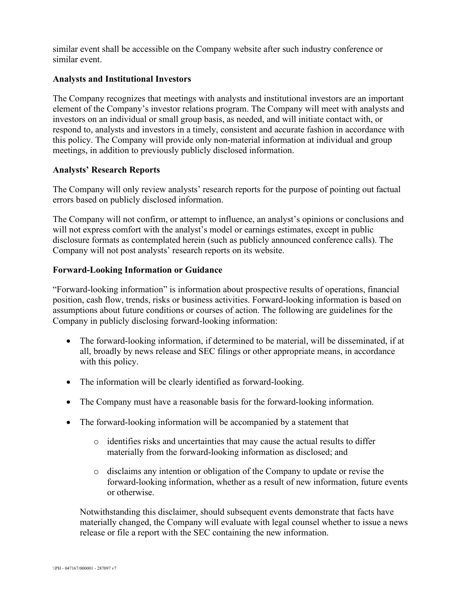similar event shall be accessible on the Company website after such industry conference or similar event.

### **Analysts and Institutional Investors**

The Company recognizes that meetings with analysts and institutional investors are an important element of the Company's investor relations program. The Company will meet with analysts and investors on an individual or small group basis, as needed, and will initiate contact with, or respond to, analysts and investors in a timely, consistent and accurate fashion in accordance with this policy. The Company will provide only non-material information at individual and group meetings, in addition to previously publicly disclosed information.

## **Analysts' Research Reports**

The Company will only review analysts' research reports for the purpose of pointing out factual errors based on publicly disclosed information.

The Company will not confirm, or attempt to influence, an analyst's opinions or conclusions and will not express comfort with the analyst's model or earnings estimates, except in public disclosure formats as contemplated herein (such as publicly announced conference calls). The Company will not post analysts' research reports on its website.

## **Forward-Looking Information or Guidance**

"Forward-looking information" is information about prospective results of operations, financial position, cash flow, trends, risks or business activities. Forward-looking information is based on assumptions about future conditions or courses of action. The following are guidelines for the Company in publicly disclosing forward-looking information:

- The forward-looking information, if determined to be material, will be disseminated, if at all, broadly by news release and SEC filings or other appropriate means, in accordance with this policy.
- The information will be clearly identified as forward-looking.
- The Company must have a reasonable basis for the forward-looking information.
- The forward-looking information will be accompanied by a statement that
	- o identifies risks and uncertainties that may cause the actual results to differ materially from the forward-looking information as disclosed; and
	- o disclaims any intention or obligation of the Company to update or revise the forward-looking information, whether as a result of new information, future events or otherwise.

Notwithstanding this disclaimer, should subsequent events demonstrate that facts have materially changed, the Company will evaluate with legal counsel whether to issue a news release or file a report with the SEC containing the new information.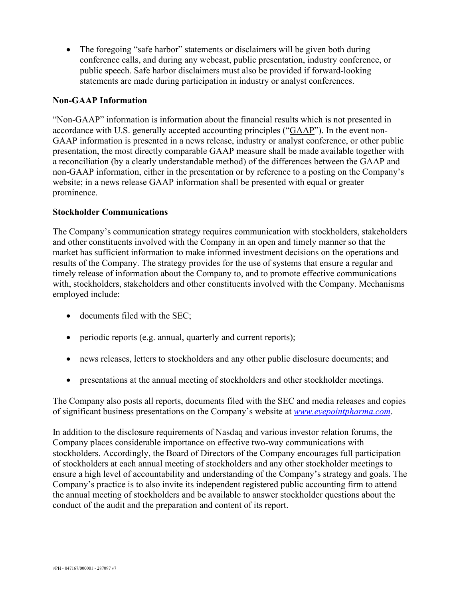• The foregoing "safe harbor" statements or disclaimers will be given both during conference calls, and during any webcast, public presentation, industry conference, or public speech. Safe harbor disclaimers must also be provided if forward-looking statements are made during participation in industry or analyst conferences.

## **Non-GAAP Information**

"Non-GAAP" information is information about the financial results which is not presented in accordance with U.S. generally accepted accounting principles ("GAAP"). In the event non-GAAP information is presented in a news release, industry or analyst conference, or other public presentation, the most directly comparable GAAP measure shall be made available together with a reconciliation (by a clearly understandable method) of the differences between the GAAP and non-GAAP information, either in the presentation or by reference to a posting on the Company's website; in a news release GAAP information shall be presented with equal or greater prominence.

### **Stockholder Communications**

The Company's communication strategy requires communication with stockholders, stakeholders and other constituents involved with the Company in an open and timely manner so that the market has sufficient information to make informed investment decisions on the operations and results of the Company. The strategy provides for the use of systems that ensure a regular and timely release of information about the Company to, and to promote effective communications with, stockholders, stakeholders and other constituents involved with the Company. Mechanisms employed include:

- documents filed with the SEC;
- periodic reports (e.g. annual, quarterly and current reports);
- news releases, letters to stockholders and any other public disclosure documents; and
- presentations at the annual meeting of stockholders and other stockholder meetings.

The Company also posts all reports, documents filed with the SEC and media releases and copies of significant business presentations on the Company's website at *[www.eyepointpharma.com](http://www.eyepointpharma.com/)*.

In addition to the disclosure requirements of Nasdaq and various investor relation forums, the Company places considerable importance on effective two-way communications with stockholders. Accordingly, the Board of Directors of the Company encourages full participation of stockholders at each annual meeting of stockholders and any other stockholder meetings to ensure a high level of accountability and understanding of the Company's strategy and goals. The Company's practice is to also invite its independent registered public accounting firm to attend the annual meeting of stockholders and be available to answer stockholder questions about the conduct of the audit and the preparation and content of its report.